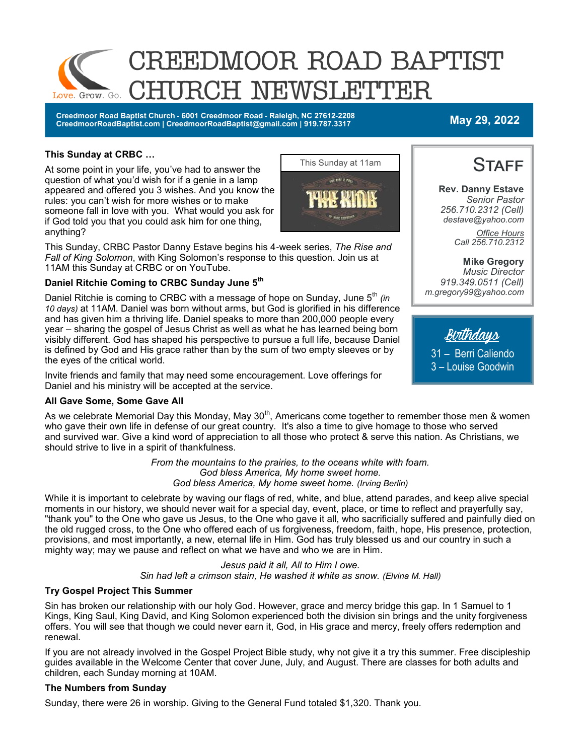

**Creedmoor Road Baptist Church - 6001 Creedmoor Road - Raleigh, NC 27612-2208 CreedmoorRoadBaptist.com | CreedmoorRoadBaptist@gmail.com | 919.787.3317 May 29, 2022**

#### **This Sunday at CRBC …**

At some point in your life, you've had to answer the question of what you'd wish for if a genie in a lamp appeared and offered you 3 wishes. And you know the rules: you can't wish for more wishes or to make someone fall in love with you. What would you ask for if God told you that you could ask him for one thing, anything?

This Sunday, CRBC Pastor Danny Estave begins his 4-week series, *The Rise and Fall of King Solomon*, with King Solomon's response to this question. Join us at 11AM this Sunday at CRBC or on YouTube.

#### **Daniel Ritchie Coming to CRBC Sunday June 5th**

Daniel Ritchie is coming to CRBC with a message of hope on Sunday, June 5<sup>th</sup> (in *10 days)* at 11AM. Daniel was born without arms, but God is glorified in his difference and has given him a thriving life. Daniel speaks to more than 200,000 people every year – sharing the gospel of Jesus Christ as well as what he has learned being born visibly different. God has shaped his perspective to pursue a full life, because Daniel is defined by God and His grace rather than by the sum of two empty sleeves or by the eyes of the critical world.

Invite friends and family that may need some encouragement. Love offerings for Daniel and his ministry will be accepted at the service.

#### **All Gave Some, Some Gave All**

As we celebrate Memorial Day this Monday, May 30 $^{\text{th}}$ , Americans come together to remember those men & women who gave their own life in defense of our great country. It's also a time to give homage to those who served and survived war. Give a kind word of appreciation to all those who protect & serve this nation. As Christians, we should strive to live in a spirit of thankfulness.

> *From the mountains to the prairies, to the oceans white with foam. God bless America, My home sweet home. God bless America, My home sweet home. (Irving Berlin)*

While it is important to celebrate by waving our flags of red, white, and blue, attend parades, and keep alive special moments in our history, we should never wait for a special day, event, place, or time to reflect and prayerfully say, "thank you" to the One who gave us Jesus, to the One who gave it all, who sacrificially suffered and painfully died on the old rugged cross, to the One who offered each of us forgiveness, freedom, faith, hope, His presence, protection, provisions, and most importantly, a new, eternal life in Him. God has truly blessed us and our country in such a mighty way; may we pause and reflect on what we have and who we are in Him.

#### *Jesus paid it all, All to Him I owe.*

*Sin had left a crimson stain, He washed it white as snow. (Elvina M. Hall)*

#### **Try Gospel Project This Summer**

Sin has broken our relationship with our holy God. However, grace and mercy bridge this gap. In 1 Samuel to 1 Kings, King Saul, King David, and King Solomon experienced both the division sin brings and the unity forgiveness offers. You will see that though we could never earn it, God, in His grace and mercy, freely offers redemption and renewal.

If you are not already involved in the Gospel Project Bible study, why not give it a try this summer. Free discipleship guides available in the Welcome Center that cover June, July, and August. There are classes for both adults and children, each Sunday morning at 10AM.

#### **The Numbers from Sunday**

Sunday, there were 26 in worship. Giving to the General Fund totaled \$1,320. Thank you.



<u>Bi</u>tthday<u>s</u> 31 – Berri Caliendo 3 – Louise Goodwin

**STAFF** 

**Rev. Danny Estave** *Senior Pastor 256.710.2312 (Cell) destave@yahoo.com*

> *Office Hours Call 256.710.2312*

**Mike Gregory** *Music Director 919.349.0511 (Cell) m.gregory99@yahoo.com*